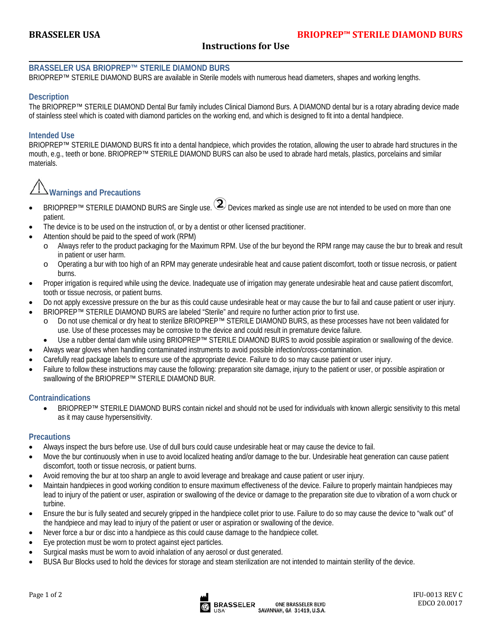# **Instructions for Use**

#### **BRASSELER USA BRIOPREP™ STERILE DIAMOND BURS**

BRIOPREP™ STERILE DIAMOND BURS are available in Sterile models with numerous head diameters, shapes and working lengths.

### **Description**

 $\overline{a}$ 

The BRIOPREP™ STERILE DIAMOND Dental Bur family includes Clinical Diamond Burs. A DIAMOND dental bur is a rotary abrading device made of stainless steel which is coated with diamond particles on the working end, and which is designed to fit into a dental handpiece.

#### **Intended Use**

BRIOPREP™ STERILE DIAMOND BURS fit into a dental handpiece, which provides the rotation, allowing the user to abrade hard structures in the mouth, e.g., teeth or bone. BRIOPREP™ STERILE DIAMOND BURS can also be used to abrade hard metals, plastics, porcelains and similar materials.

# **Warnings and Precautions**

- BRIOPREP<sup>™</sup> STERILE DIAMOND BURS are Single use.  $\bigcircled{2}$  Devices marked as single use are not intended to be used on more than one patient.
- The device is to be used on the instruction of, or by a dentist or other licensed practitioner.
- Attention should be paid to the speed of work (RPM)
	- o Always refer to the product packaging for the Maximum RPM. Use of the bur beyond the RPM range may cause the bur to break and result in patient or user harm.
	- o Operating a bur with too high of an RPM may generate undesirable heat and cause patient discomfort, tooth or tissue necrosis, or patient burns.
- Proper irrigation is required while using the device. Inadequate use of irrigation may generate undesirable heat and cause patient discomfort, tooth or tissue necrosis, or patient burns.
- Do not apply excessive pressure on the bur as this could cause undesirable heat or may cause the bur to fail and cause patient or user injury.
- BRIOPREP™ STERILE DIAMOND BURS are labeled "Sterile" and require no further action prior to first use.
	- o Do not use chemical or dry heat to sterilize BRIOPREP™ STERILE DIAMOND BURS, as these processes have not been validated for use. Use of these processes may be corrosive to the device and could result in premature device failure.
- Use a rubber dental dam while using BRIOPREP™ STERILE DIAMOND BURS to avoid possible aspiration or swallowing of the device.
- Always wear gloves when handling contaminated instruments to avoid possible infection/cross-contamination.
- Carefully read package labels to ensure use of the appropriate device. Failure to do so may cause patient or user injury.
- Failure to follow these instructions may cause the following: preparation site damage, injury to the patient or user, or possible aspiration or swallowing of the BRIOPREP™ STERILE DIAMOND BUR.

#### **Contraindications**

 BRIOPREP™ STERILE DIAMOND BURS contain nickel and should not be used for individuals with known allergic sensitivity to this metal as it may cause hypersensitivity.

## **Precautions**

- Always inspect the burs before use. Use of dull burs could cause undesirable heat or may cause the device to fail.
- Move the bur continuously when in use to avoid localized heating and/or damage to the bur. Undesirable heat generation can cause patient discomfort, tooth or tissue necrosis, or patient burns.
- Avoid removing the bur at too sharp an angle to avoid leverage and breakage and cause patient or user injury.
- Maintain handpieces in good working condition to ensure maximum effectiveness of the device. Failure to properly maintain handpieces may lead to injury of the patient or user, aspiration or swallowing of the device or damage to the preparation site due to vibration of a worn chuck or turbine.
- Ensure the bur is fully seated and securely gripped in the handpiece collet prior to use. Failure to do so may cause the device to "walk out" of the handpiece and may lead to injury of the patient or user or aspiration or swallowing of the device.
- Never force a bur or disc into a handpiece as this could cause damage to the handpiece collet.
- Eye protection must be worn to protect against eject particles.
- Surgical masks must be worn to avoid inhalation of any aerosol or dust generated.
- BUSA Bur Blocks used to hold the devices for storage and steam sterilization are not intended to maintain sterility of the device.